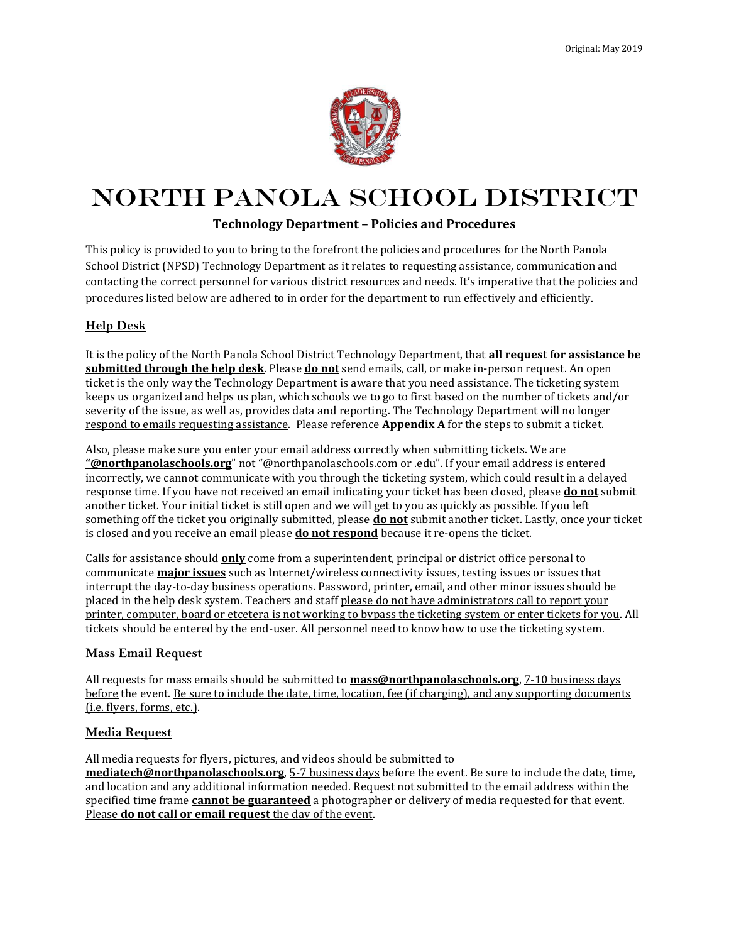

# North Panola School District

# **Technology Department – Policies and Procedures**

This policy is provided to you to bring to the forefront the policies and procedures for the North Panola School District (NPSD) Technology Department as it relates to requesting assistance, communication and contacting the correct personnel for various district resources and needs. It's imperative that the policies and procedures listed below are adhered to in order for the department to run effectively and efficiently.

# **Help Desk**

It is the policy of the North Panola School District Technology Department, that **all request for assistance be submitted through the help desk**. Please **do not** send emails, call, or make in-person request. An open ticket is the only way the Technology Department is aware that you need assistance. The ticketing system keeps us organized and helps us plan, which schools we to go to first based on the number of tickets and/or severity of the issue, as well as, provides data and reporting. The Technology Department will no longer respond to emails requesting assistance. Please reference **Appendix A** for the steps to submit a ticket.

Also, please make sure you enter your email address correctly when submitting tickets. We are **"@northpanolaschools.org**" not "@northpanolaschools.com or .edu". If your email address is entered incorrectly, we cannot communicate with you through the ticketing system, which could result in a delayed response time. If you have not received an email indicating your ticket has been closed, please **do not** submit another ticket. Your initial ticket is still open and we will get to you as quickly as possible. If you left something off the ticket you originally submitted, please **do not** submit another ticket. Lastly, once your ticket is closed and you receive an email please **do not respond** because it re-opens the ticket.

Calls for assistance should **only** come from a superintendent, principal or district office personal to communicate **major issues** such as Internet/wireless connectivity issues, testing issues or issues that interrupt the day-to-day business operations. Password, printer, email, and other minor issues should be placed in the help desk system. Teachers and staff please do not have administrators call to report your printer, computer, board or etcetera is not working to bypass the ticketing system or enter tickets for you. All tickets should be entered by the end-user. All personnel need to know how to use the ticketing system.

#### **Mass Email Request**

All requests for mass emails should be submitted to **mass@northpanolaschools.org**, 7-10 business days before the event. Be sure to include the date, time, location, fee (if charging), and any supporting documents (i.e. flyers, forms, etc.).

# **Media Request**

All media requests for flyers, pictures, and videos should be submitted to

**mediatech@northpanolaschools.org**, 5-7 business days before the event. Be sure to include the date, time, and location and any additional information needed. Request not submitted to the email address within the specified time frame **cannot be guaranteed** a photographer or delivery of media requested for that event. Please **do not call or email request** the day of the event.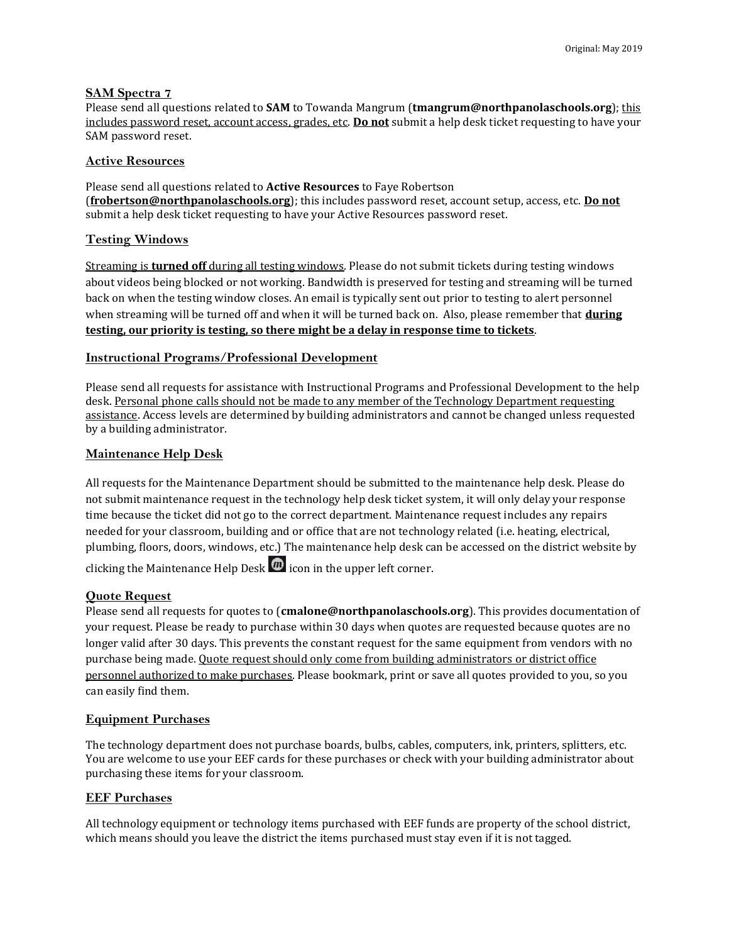#### **SAM Spectra 7**

Please send all questions related to **SAM** to Towanda Mangrum (**tmangrum@northpanolaschools.org**); this includes password reset, account access, grades, etc. **Do not** submit a help desk ticket requesting to have your SAM password reset.

#### **Active Resources**

Please send all questions related to **Active Resources** to Faye Robertson (**frobertson@northpanolaschools.org**); this includes password reset, account setup, access, etc. **Do not** submit a help desk ticket requesting to have your Active Resources password reset.

#### **Testing Windows**

Streaming is **turned off** during all testing windows. Please do not submit tickets during testing windows about videos being blocked or not working. Bandwidth is preserved for testing and streaming will be turned back on when the testing window closes. An email is typically sent out prior to testing to alert personnel when streaming will be turned off and when it will be turned back on. Also, please remember that **during testing, our priority is testing, so there might be a delay in response time to tickets**.

#### **Instructional Programs/Professional Development**

Please send all requests for assistance with Instructional Programs and Professional Development to the help desk. Personal phone calls should not be made to any member of the Technology Department requesting assistance. Access levels are determined by building administrators and cannot be changed unless requested by a building administrator.

#### **Maintenance Help Desk**

All requests for the Maintenance Department should be submitted to the maintenance help desk. Please do not submit maintenance request in the technology help desk ticket system, it will only delay your response time because the ticket did not go to the correct department. Maintenance request includes any repairs needed for your classroom, building and or office that are not technology related (i.e. heating, electrical, plumbing, floors, doors, windows, etc.) The maintenance help desk can be accessed on the district website by clicking the Maintenance Help Desk  $\omega$  icon in the upper left corner.

# **Quote Request**

Please send all requests for quotes to (**cmalone@northpanolaschools.org**). This provides documentation of your request. Please be ready to purchase within 30 days when quotes are requested because quotes are no longer valid after 30 days. This prevents the constant request for the same equipment from vendors with no purchase being made. Quote request should only come from building administrators or district office personnel authorized to make purchases. Please bookmark, print or save all quotes provided to you, so you can easily find them.

#### **Equipment Purchases**

The technology department does not purchase boards, bulbs, cables, computers, ink, printers, splitters, etc. You are welcome to use your EEF cards for these purchases or check with your building administrator about purchasing these items for your classroom.

#### **EEF Purchases**

All technology equipment or technology items purchased with EEF funds are property of the school district, which means should you leave the district the items purchased must stay even if it is not tagged.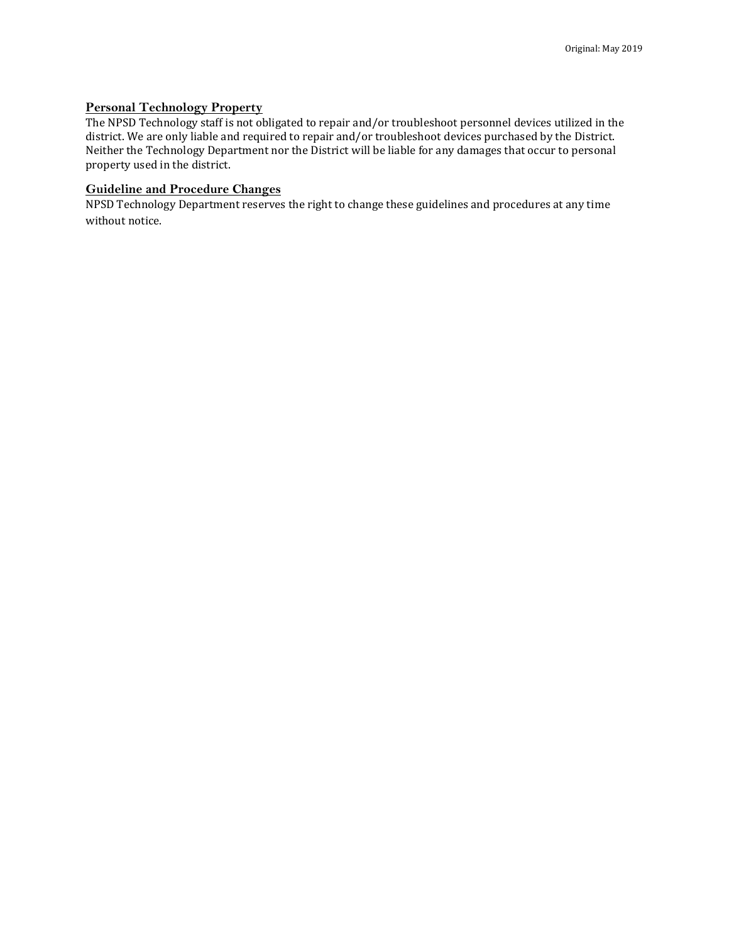#### **Personal Technology Property**

The NPSD Technology staff is not obligated to repair and/or troubleshoot personnel devices utilized in the district. We are only liable and required to repair and/or troubleshoot devices purchased by the District. Neither the Technology Department nor the District will be liable for any damages that occur to personal property used in the district.

# **Guideline and Procedure Changes**

NPSD Technology Department reserves the right to change these guidelines and procedures at any time without notice.